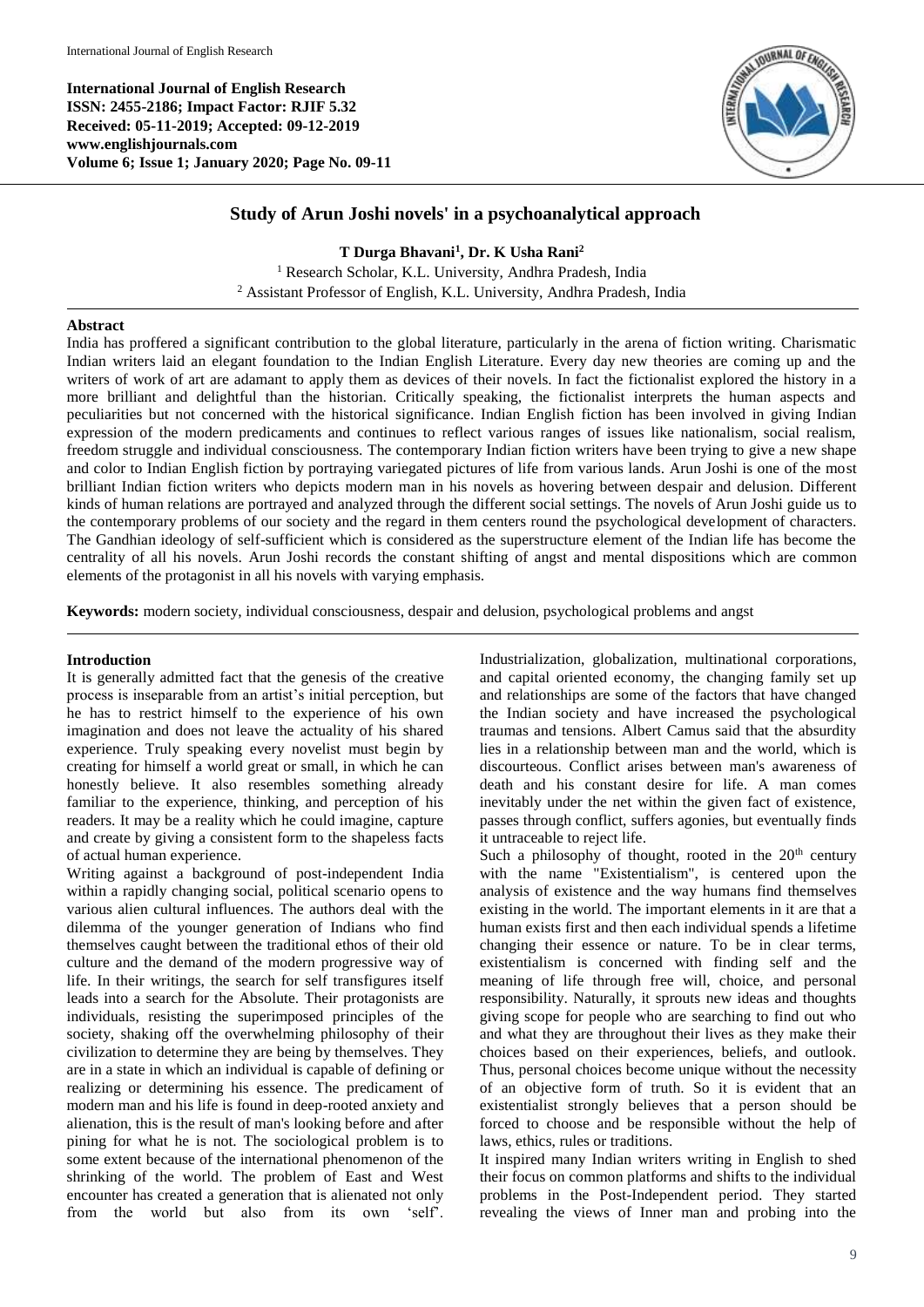**International Journal of English Research ISSN: 2455-2186; Impact Factor: RJIF 5.32 Received: 05-11-2019; Accepted: 09-12-2019 www.englishjournals.com Volume 6; Issue 1; January 2020; Page No. 09-11**



# **Study of Arun Joshi novels' in a psychoanalytical approach**

**T Durga Bhavani<sup>1</sup> , Dr. K Usha Rani<sup>2</sup>** <sup>1</sup> Research Scholar, K.L. University, Andhra Pradesh, India <sup>2</sup> Assistant Professor of English, K.L. University, Andhra Pradesh, India

## **Abstract**

India has proffered a significant contribution to the global literature, particularly in the arena of fiction writing. Charismatic Indian writers laid an elegant foundation to the Indian English Literature. Every day new theories are coming up and the writers of work of art are adamant to apply them as devices of their novels. In fact the fictionalist explored the history in a more brilliant and delightful than the historian. Critically speaking, the fictionalist interprets the human aspects and peculiarities but not concerned with the historical significance. Indian English fiction has been involved in giving Indian expression of the modern predicaments and continues to reflect various ranges of issues like nationalism, social realism, freedom struggle and individual consciousness. The contemporary Indian fiction writers have been trying to give a new shape and color to Indian English fiction by portraying variegated pictures of life from various lands. Arun Joshi is one of the most brilliant Indian fiction writers who depicts modern man in his novels as hovering between despair and delusion. Different kinds of human relations are portrayed and analyzed through the different social settings. The novels of Arun Joshi guide us to the contemporary problems of our society and the regard in them centers round the psychological development of characters. The Gandhian ideology of self-sufficient which is considered as the superstructure element of the Indian life has become the centrality of all his novels. Arun Joshi records the constant shifting of angst and mental dispositions which are common elements of the protagonist in all his novels with varying emphasis.

**Keywords:** modern society, individual consciousness, despair and delusion, psychological problems and angst

## **Introduction**

It is generally admitted fact that the genesis of the creative process is inseparable from an artist's initial perception, but he has to restrict himself to the experience of his own imagination and does not leave the actuality of his shared experience. Truly speaking every novelist must begin by creating for himself a world great or small, in which he can honestly believe. It also resembles something already familiar to the experience, thinking, and perception of his readers. It may be a reality which he could imagine, capture and create by giving a consistent form to the shapeless facts of actual human experience.

Writing against a background of post-independent India within a rapidly changing social, political scenario opens to various alien cultural influences. The authors deal with the dilemma of the younger generation of Indians who find themselves caught between the traditional ethos of their old culture and the demand of the modern progressive way of life. In their writings, the search for self transfigures itself leads into a search for the Absolute. Their protagonists are individuals, resisting the superimposed principles of the society, shaking off the overwhelming philosophy of their civilization to determine they are being by themselves. They are in a state in which an individual is capable of defining or realizing or determining his essence. The predicament of modern man and his life is found in deep-rooted anxiety and alienation, this is the result of man's looking before and after pining for what he is not. The sociological problem is to some extent because of the international phenomenon of the shrinking of the world. The problem of East and West encounter has created a generation that is alienated not only from the world but also from its own 'self'.

Industrialization, globalization, multinational corporations, and capital oriented economy, the changing family set up and relationships are some of the factors that have changed the Indian society and have increased the psychological traumas and tensions. Albert Camus said that the absurdity lies in a relationship between man and the world, which is discourteous. Conflict arises between man's awareness of death and his constant desire for life. A man comes inevitably under the net within the given fact of existence, passes through conflict, suffers agonies, but eventually finds it untraceable to reject life.

Such a philosophy of thought, rooted in the  $20<sup>th</sup>$  century with the name "Existentialism", is centered upon the analysis of existence and the way humans find themselves existing in the world. The important elements in it are that a human exists first and then each individual spends a lifetime changing their essence or nature. To be in clear terms, existentialism is concerned with finding self and the meaning of life through free will, choice, and personal responsibility. Naturally, it sprouts new ideas and thoughts giving scope for people who are searching to find out who and what they are throughout their lives as they make their choices based on their experiences, beliefs, and outlook. Thus, personal choices become unique without the necessity of an objective form of truth. So it is evident that an existentialist strongly believes that a person should be forced to choose and be responsible without the help of laws, ethics, rules or traditions.

It inspired many Indian writers writing in English to shed their focus on common platforms and shifts to the individual problems in the Post-Independent period. They started revealing the views of Inner man and probing into the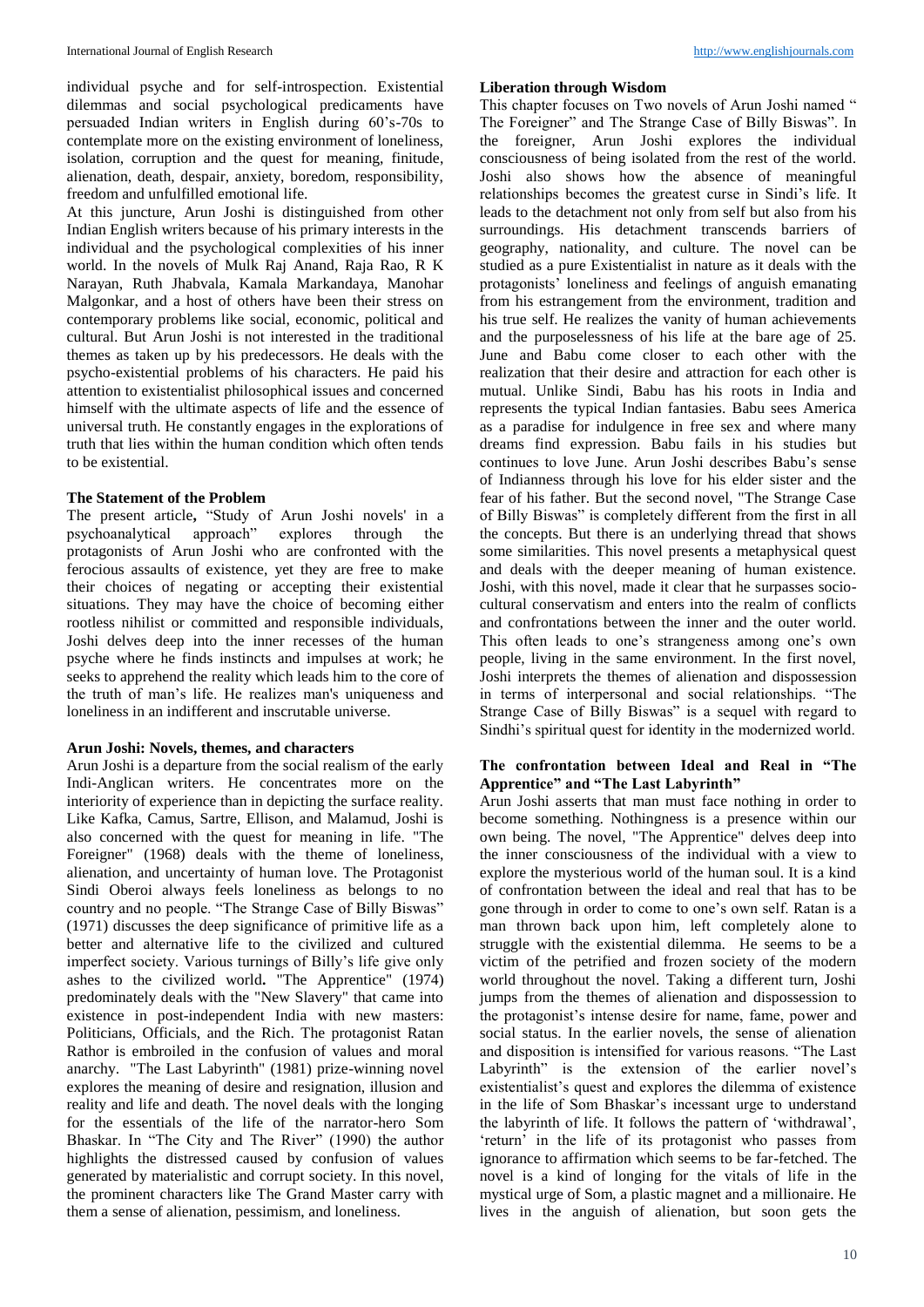individual psyche and for self-introspection. Existential dilemmas and social psychological predicaments have persuaded Indian writers in English during 60's-70s to contemplate more on the existing environment of loneliness, isolation, corruption and the quest for meaning, finitude, alienation, death, despair, anxiety, boredom, responsibility, freedom and unfulfilled emotional life.

At this juncture, Arun Joshi is distinguished from other Indian English writers because of his primary interests in the individual and the psychological complexities of his inner world. In the novels of Mulk Raj Anand, Raja Rao, R K Narayan, Ruth Jhabvala, Kamala Markandaya, Manohar Malgonkar, and a host of others have been their stress on contemporary problems like social, economic, political and cultural. But Arun Joshi is not interested in the traditional themes as taken up by his predecessors. He deals with the psycho-existential problems of his characters. He paid his attention to existentialist philosophical issues and concerned himself with the ultimate aspects of life and the essence of universal truth. He constantly engages in the explorations of truth that lies within the human condition which often tends to be existential.

### **The Statement of the Problem**

The present article**,** "Study of Arun Joshi novels' in a psychoanalytical approach" explores through the protagonists of Arun Joshi who are confronted with the ferocious assaults of existence, yet they are free to make their choices of negating or accepting their existential situations. They may have the choice of becoming either rootless nihilist or committed and responsible individuals, Joshi delves deep into the inner recesses of the human psyche where he finds instincts and impulses at work; he seeks to apprehend the reality which leads him to the core of the truth of man's life. He realizes man's uniqueness and loneliness in an indifferent and inscrutable universe.

#### **Arun Joshi: Novels, themes, and characters**

Arun Joshi is a departure from the social realism of the early Indi-Anglican writers. He concentrates more on the interiority of experience than in depicting the surface reality. Like Kafka, Camus, Sartre, Ellison, and Malamud, Joshi is also concerned with the quest for meaning in life. "The Foreigner" (1968) deals with the theme of loneliness, alienation, and uncertainty of human love. The Protagonist Sindi Oberoi always feels loneliness as belongs to no country and no people. "The Strange Case of Billy Biswas" (1971) discusses the deep significance of primitive life as a better and alternative life to the civilized and cultured imperfect society. Various turnings of Billy's life give only ashes to the civilized world**.** "The Apprentice" (1974) predominately deals with the "New Slavery" that came into existence in post-independent India with new masters: Politicians, Officials, and the Rich. The protagonist Ratan Rathor is embroiled in the confusion of values and moral anarchy. "The Last Labyrinth" (1981) prize-winning novel explores the meaning of desire and resignation, illusion and reality and life and death. The novel deals with the longing for the essentials of the life of the narrator-hero Som Bhaskar. In "The City and The River" (1990) the author highlights the distressed caused by confusion of values generated by materialistic and corrupt society. In this novel, the prominent characters like The Grand Master carry with them a sense of alienation, pessimism, and loneliness.

### **Liberation through Wisdom**

This chapter focuses on Two novels of Arun Joshi named " The Foreigner" and The Strange Case of Billy Biswas". In the foreigner, Arun Joshi explores the individual consciousness of being isolated from the rest of the world. Joshi also shows how the absence of meaningful relationships becomes the greatest curse in Sindi's life. It leads to the detachment not only from self but also from his surroundings. His detachment transcends barriers of geography, nationality, and culture. The novel can be studied as a pure Existentialist in nature as it deals with the protagonists' loneliness and feelings of anguish emanating from his estrangement from the environment, tradition and his true self. He realizes the vanity of human achievements and the purposelessness of his life at the bare age of 25. June and Babu come closer to each other with the realization that their desire and attraction for each other is mutual. Unlike Sindi, Babu has his roots in India and represents the typical Indian fantasies. Babu sees America as a paradise for indulgence in free sex and where many dreams find expression. Babu fails in his studies but continues to love June. Arun Joshi describes Babu's sense of Indianness through his love for his elder sister and the fear of his father. But the second novel, "The Strange Case of Billy Biswas" is completely different from the first in all the concepts. But there is an underlying thread that shows some similarities. This novel presents a metaphysical quest and deals with the deeper meaning of human existence. Joshi, with this novel, made it clear that he surpasses sociocultural conservatism and enters into the realm of conflicts and confrontations between the inner and the outer world. This often leads to one's strangeness among one's own people, living in the same environment. In the first novel, Joshi interprets the themes of alienation and dispossession in terms of interpersonal and social relationships. "The Strange Case of Billy Biswas" is a sequel with regard to Sindhi's spiritual quest for identity in the modernized world.

## **The confrontation between Ideal and Real in "The Apprentice" and "The Last Labyrinth"**

Arun Joshi asserts that man must face nothing in order to become something. Nothingness is a presence within our own being. The novel, "The Apprentice" delves deep into the inner consciousness of the individual with a view to explore the mysterious world of the human soul. It is a kind of confrontation between the ideal and real that has to be gone through in order to come to one's own self. Ratan is a man thrown back upon him, left completely alone to struggle with the existential dilemma. He seems to be a victim of the petrified and frozen society of the modern world throughout the novel. Taking a different turn, Joshi jumps from the themes of alienation and dispossession to the protagonist's intense desire for name, fame, power and social status. In the earlier novels, the sense of alienation and disposition is intensified for various reasons. "The Last Labyrinth" is the extension of the earlier novel's existentialist's quest and explores the dilemma of existence in the life of Som Bhaskar's incessant urge to understand the labyrinth of life. It follows the pattern of 'withdrawal', 'return' in the life of its protagonist who passes from ignorance to affirmation which seems to be far-fetched. The novel is a kind of longing for the vitals of life in the mystical urge of Som, a plastic magnet and a millionaire. He lives in the anguish of alienation, but soon gets the